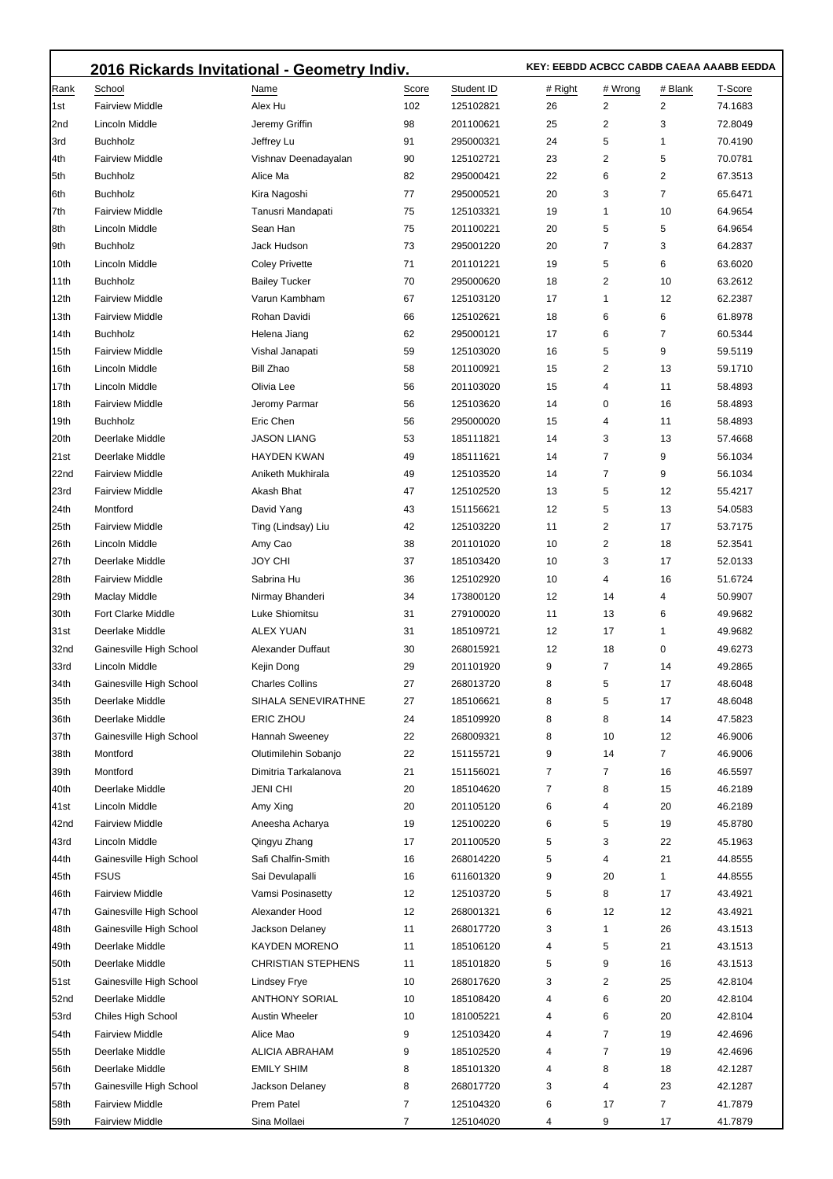|             | 2016 Rickards Invitational - Geometry Indiv. |                           |       |            |         | KEY: EEBDD ACBCC CABDB CAEAA AAABB EEDDA |              |         |  |
|-------------|----------------------------------------------|---------------------------|-------|------------|---------|------------------------------------------|--------------|---------|--|
| Rank        | School                                       | Name                      | Score | Student ID | # Right | # Wrong                                  | # Blank      | T-Score |  |
| l1st        | <b>Fairview Middle</b>                       | Alex Hu                   | 102   | 125102821  | 26      | 2                                        | 2            | 74.1683 |  |
| 2nd         | Lincoln Middle                               | Jeremy Griffin            | 98    | 201100621  | 25      | 2                                        | 3            | 72.8049 |  |
| 3rd         | <b>Buchholz</b>                              | Jeffrey Lu                | 91    | 295000321  | 24      | 5                                        | 1            | 70.4190 |  |
| 4th         | <b>Fairview Middle</b>                       | Vishnav Deenadayalan      | 90    | 125102721  | 23      | 2                                        | 5            | 70.0781 |  |
| 5th         | <b>Buchholz</b>                              | Alice Ma                  | 82    | 295000421  | 22      | 6                                        | 2            | 67.3513 |  |
| 6th         | <b>Buchholz</b>                              | Kira Nagoshi              | 77    | 295000521  | 20      | 3                                        | 7            | 65.6471 |  |
| 7th         | <b>Fairview Middle</b>                       | Tanusri Mandapati         | 75    | 125103321  | 19      | $\mathbf{1}$                             | 10           | 64.9654 |  |
| 8th         | Lincoln Middle                               | Sean Han                  | 75    | 201100221  | 20      | 5                                        | 5            | 64.9654 |  |
| 9th         | <b>Buchholz</b>                              | Jack Hudson               | 73    | 295001220  | 20      | 7                                        | 3            | 64.2837 |  |
| 10th        | Lincoln Middle                               | <b>Coley Privette</b>     | 71    | 201101221  | 19      | 5                                        | 6            | 63.6020 |  |
| 11th        | <b>Buchholz</b>                              | <b>Bailey Tucker</b>      | 70    | 295000620  | 18      | 2                                        | 10           | 63.2612 |  |
| 12th        | <b>Fairview Middle</b>                       | Varun Kambham             | 67    | 125103120  | 17      | $\mathbf{1}$                             | 12           | 62.2387 |  |
| 13th        | <b>Fairview Middle</b>                       | Rohan Davidi              | 66    | 125102621  | 18      | 6                                        | 6            | 61.8978 |  |
| 14th        | <b>Buchholz</b>                              | Helena Jiang              | 62    | 295000121  | 17      | 6                                        | 7            | 60.5344 |  |
| 15th        | <b>Fairview Middle</b>                       | Vishal Janapati           | 59    | 125103020  | 16      | 5                                        | 9            | 59.5119 |  |
| 16th        | <b>Lincoln Middle</b>                        | Bill Zhao                 | 58    | 201100921  | 15      | 2                                        | 13           | 59.1710 |  |
| 17th        | Lincoln Middle                               | Olivia Lee                | 56    | 201103020  | 15      | 4                                        | 11           | 58.4893 |  |
| 18th        | <b>Fairview Middle</b>                       | Jeromy Parmar             | 56    | 125103620  | 14      | 0                                        | 16           | 58.4893 |  |
| 19th        | <b>Buchholz</b>                              | Eric Chen                 | 56    | 295000020  | 15      | 4                                        | 11           | 58.4893 |  |
| 20th        | Deerlake Middle                              | <b>JASON LIANG</b>        | 53    | 185111821  | 14      | 3                                        | 13           | 57.4668 |  |
| 21st        | Deerlake Middle                              | <b>HAYDEN KWAN</b>        | 49    | 185111621  | 14      | 7                                        | 9            | 56.1034 |  |
| 22nd        | <b>Fairview Middle</b>                       | Aniketh Mukhirala         | 49    | 125103520  | 14      | $\overline{7}$                           | 9            | 56.1034 |  |
| 23rd        | <b>Fairview Middle</b>                       | Akash Bhat                | 47    | 125102520  | 13      | 5                                        | 12           | 55.4217 |  |
| 24th        | Montford                                     | David Yang                | 43    | 151156621  | 12      | 5                                        | 13           | 54.0583 |  |
| 25th        | <b>Fairview Middle</b>                       | Ting (Lindsay) Liu        | 42    | 125103220  | 11      | $\overline{2}$                           | 17           | 53.7175 |  |
| 26th        | Lincoln Middle                               | Amy Cao                   | 38    | 201101020  | 10      | 2                                        | 18           | 52.3541 |  |
| 27th        | Deerlake Middle                              | JOY CHI                   | 37    | 185103420  | 10      | 3                                        | 17           | 52.0133 |  |
| 28th        | <b>Fairview Middle</b>                       | Sabrina Hu                | 36    | 125102920  | 10      | 4                                        | 16           | 51.6724 |  |
| 29th        | Maclay Middle                                | Nirmay Bhanderi           | 34    | 173800120  | 12      | 14                                       | 4            | 50.9907 |  |
| 30th        | Fort Clarke Middle                           | Luke Shiomitsu            | 31    | 279100020  | 11      | 13                                       | 6            | 49.9682 |  |
| 31st        | Deerlake Middle                              | <b>ALEX YUAN</b>          | 31    | 185109721  | 12      | 17                                       | 1            | 49.9682 |  |
| 32nd        | Gainesville High School                      | Alexander Duffaut         | 30    | 268015921  | 12      | 18                                       | 0            | 49.6273 |  |
| 33rd        | Lincoln Middle                               | Kejin Dong                | 29    | 201101920  | 9       | $\overline{7}$                           | 14           | 49.2865 |  |
| 34th        | Gainesville High School                      | <b>Charles Collins</b>    | 27    | 268013720  | 8       | 5                                        | 17           | 48.6048 |  |
| 35th        | Deerlake Middle                              | SIHALA SENEVIRATHNE       | 27    | 185106621  | 8       | 5                                        | 17           | 48.6048 |  |
| 36th        | Deerlake Middle                              | ERIC ZHOU                 | 24    | 185109920  | 8       | 8                                        | 14           | 47.5823 |  |
| 37th        | Gainesville High School                      | Hannah Sweeney            | 22    | 268009321  | 8       | 10                                       | 12           | 46.9006 |  |
| 38th        | Montford                                     | Olutimilehin Sobanjo      | 22    | 151155721  | 9       | 14                                       | 7            | 46.9006 |  |
| 39th        | Montford                                     | Dimitria Tarkalanova      | 21    | 151156021  | 7       | 7                                        | 16           | 46.5597 |  |
| 40th        | Deerlake Middle                              | <b>JENI CHI</b>           | 20    | 185104620  | 7       | 8                                        | 15           | 46.2189 |  |
| 41st        | Lincoln Middle                               | Amy Xing                  | 20    | 201105120  | 6       | 4                                        | 20           | 46.2189 |  |
| 42nd        | <b>Fairview Middle</b>                       | Aneesha Acharya           | 19    | 125100220  | 6       | 5                                        | 19           | 45.8780 |  |
| 43rd        | Lincoln Middle                               | Qingyu Zhang              | 17    | 201100520  | 5       | 3                                        | 22           | 45.1963 |  |
| 44th        | Gainesville High School                      | Safi Chalfin-Smith        | 16    | 268014220  | 5       | 4                                        | 21           | 44.8555 |  |
| 45th        | <b>FSUS</b>                                  | Sai Devulapalli           | 16    | 611601320  | 9       | 20                                       | $\mathbf{1}$ | 44.8555 |  |
| 46th        | <b>Fairview Middle</b>                       | Vamsi Posinasetty         | 12    | 125103720  | 5       | 8                                        | 17           | 43.4921 |  |
| 47th        | Gainesville High School                      | Alexander Hood            | 12    | 268001321  | 6       | 12                                       | 12           | 43.4921 |  |
| 48th        | Gainesville High School                      | Jackson Delaney           | 11    | 268017720  | 3       | 1                                        | 26           | 43.1513 |  |
| 49th        | Deerlake Middle                              | <b>KAYDEN MORENO</b>      | 11    | 185106120  | 4       | 5                                        | 21           | 43.1513 |  |
| 50th        | Deerlake Middle                              | <b>CHRISTIAN STEPHENS</b> | 11    | 185101820  | 5       | 9                                        | 16           | 43.1513 |  |
| 51st        | Gainesville High School                      | <b>Lindsey Frye</b>       | 10    | 268017620  | 3       | 2                                        | 25           | 42.8104 |  |
| 52nd        | Deerlake Middle                              | <b>ANTHONY SORIAL</b>     | 10    | 185108420  | 4       | 6                                        | 20           | 42.8104 |  |
| 53rd        | Chiles High School                           | <b>Austin Wheeler</b>     | 10    | 181005221  | 4       | 6                                        | 20           | 42.8104 |  |
| 54th        | <b>Fairview Middle</b>                       | Alice Mao                 | 9     | 125103420  | 4       | 7                                        | 19           | 42.4696 |  |
| 55th        | Deerlake Middle                              | <b>ALICIA ABRAHAM</b>     | 9     | 185102520  | 4       | 7                                        | 19           | 42.4696 |  |
| 56th        | Deerlake Middle                              | <b>EMILY SHIM</b>         | 8     | 185101320  | 4       | 8                                        | 18           | 42.1287 |  |
| 57th        | Gainesville High School                      | Jackson Delaney           | 8     | 268017720  | 3       | 4                                        | 23           | 42.1287 |  |
| 58th        | <b>Fairview Middle</b>                       | Prem Patel                | 7     | 125104320  | 6       | 17                                       | 7            | 41.7879 |  |
| <b>59th</b> | <b>Fairview Middle</b>                       | Sina Mollaei              | 7     | 125104020  | 4       | 9                                        | 17           | 41.7879 |  |